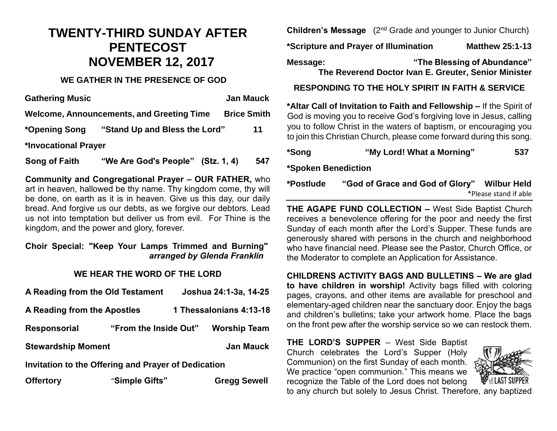## **TWENTY-THIRD SUNDAY AFTER PENTECOST NOVEMBER 12, 2017**

#### **WE GATHER IN THE PRESENCE OF GOD**

| <b>Gathering Music</b> |                                                  | <b>Jan Mauck</b>   |
|------------------------|--------------------------------------------------|--------------------|
|                        | <b>Welcome, Announcements, and Greeting Time</b> | <b>Brice Smith</b> |
| *Opening Song          | "Stand Up and Bless the Lord"                    | 11                 |
| *Invocational Prayer   |                                                  |                    |
| Song of Faith          | "We Are God's People" (Stz. 1, 4)                | 547                |

**Community and Congregational Prayer – OUR FATHER,** who art in heaven, hallowed be thy name. Thy kingdom come, thy will be done, on earth as it is in heaven. Give us this day, our daily bread. And forgive us our debts, as we forgive our debtors. Lead us not into temptation but deliver us from evil. For Thine is the kingdom, and the power and glory, forever.

#### **Choir Special: "Keep Your Lamps Trimmed and Burning"** *arranged by Glenda Franklin*

#### **WE HEAR THE WORD OF THE LORD**

| A Reading from the Old Testament                    |                       | Joshua 24:1-3a, 14-25 |                         |  |  |
|-----------------------------------------------------|-----------------------|-----------------------|-------------------------|--|--|
| A Reading from the Apostles                         |                       |                       | 1 Thessalonians 4:13-18 |  |  |
| <b>Responsorial</b>                                 | "From the Inside Out" |                       | <b>Worship Team</b>     |  |  |
| <b>Stewardship Moment</b>                           |                       |                       | <b>Jan Mauck</b>        |  |  |
| Invitation to the Offering and Prayer of Dedication |                       |                       |                         |  |  |
| <b>Offertory</b>                                    | "Simple Gifts"        |                       | <b>Gregg Sewell</b>     |  |  |

**Children's Message** (2<sup>nd</sup> Grade and younger to Junior Church)

**\*Scripture and Prayer of Illumination Matthew 25:1-13**

**Message: "The Blessing of Abundance" The Reverend Doctor Ivan E. Greuter, Senior Minister**

**RESPONDING TO THE HOLY SPIRIT IN FAITH & SERVICE**

**\*Altar Call of Invitation to Faith and Fellowship –** If the Spirit of God is moving you to receive God's forgiving love in Jesus, calling you to follow Christ in the waters of baptism, or encouraging you to join this Christian Church, please come forward during this song.

| *Song | "My Lord! What a Morning" | 537 |
|-------|---------------------------|-----|
|       |                           |     |

**\*Spoken Benediction**

| *Postlude | "God of Grace and God of Glory" Wilbur Held |                       |
|-----------|---------------------------------------------|-----------------------|
|           |                                             | *Please stand if able |

**THE AGAPE FUND COLLECTION –** West Side Baptist Church receives a benevolence offering for the poor and needy the first Sunday of each month after the Lord's Supper. These funds are generously shared with persons in the church and neighborhood who have financial need. Please see the Pastor, Church Office, or the Moderator to complete an Application for Assistance.

**CHILDRENS ACTIVITY BAGS AND BULLETINS – We are glad to have children in worship!** Activity bags filled with coloring pages, crayons, and other items are available for preschool and elementary-aged children near the sanctuary door. Enjoy the bags and children's bulletins; take your artwork home. Place the bags on the front pew after the worship service so we can restock them.

**THE LORD'S SUPPER** – West Side Baptist Church celebrates the Lord's Supper (Holy Communion) on the first Sunday of each month. We practice "open communion." This means we recognize the Table of the Lord does not belong



to any church but solely to Jesus Christ. Therefore, any baptized